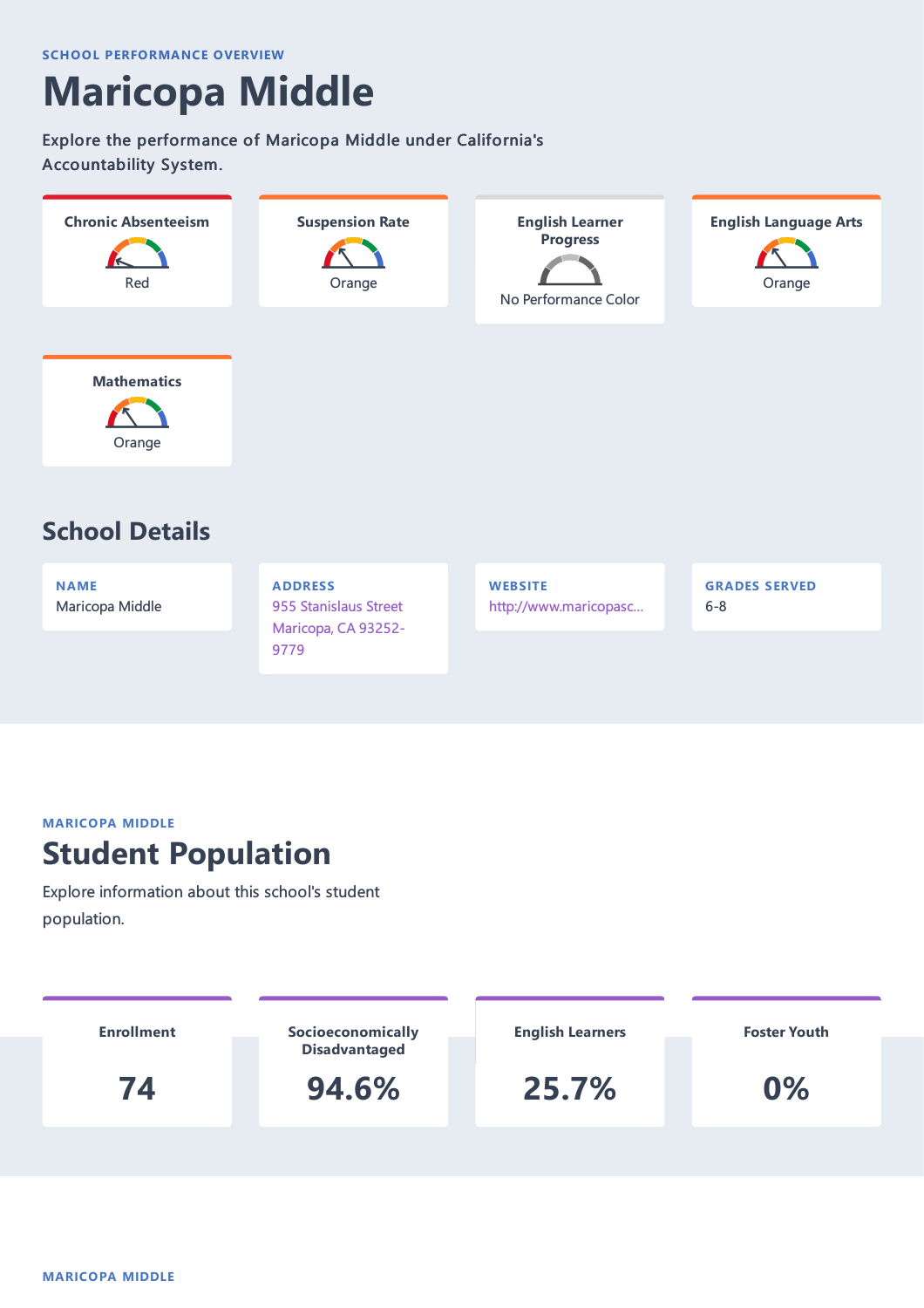# **Maricopa Middle**

Explore the performance of Maricopa Middle under California's Accountability System.



**NAME** Maricopa Middle **ADDRESS** 955 Stanislaus Street Maricopa, CA 93252- 9779

**WEBSITE** http://www.maricopasc… **GRADES SERVED** 6-8

#### **MARICOPA MIDDLE**

### **Student Population**

Explore information about this school's student population.

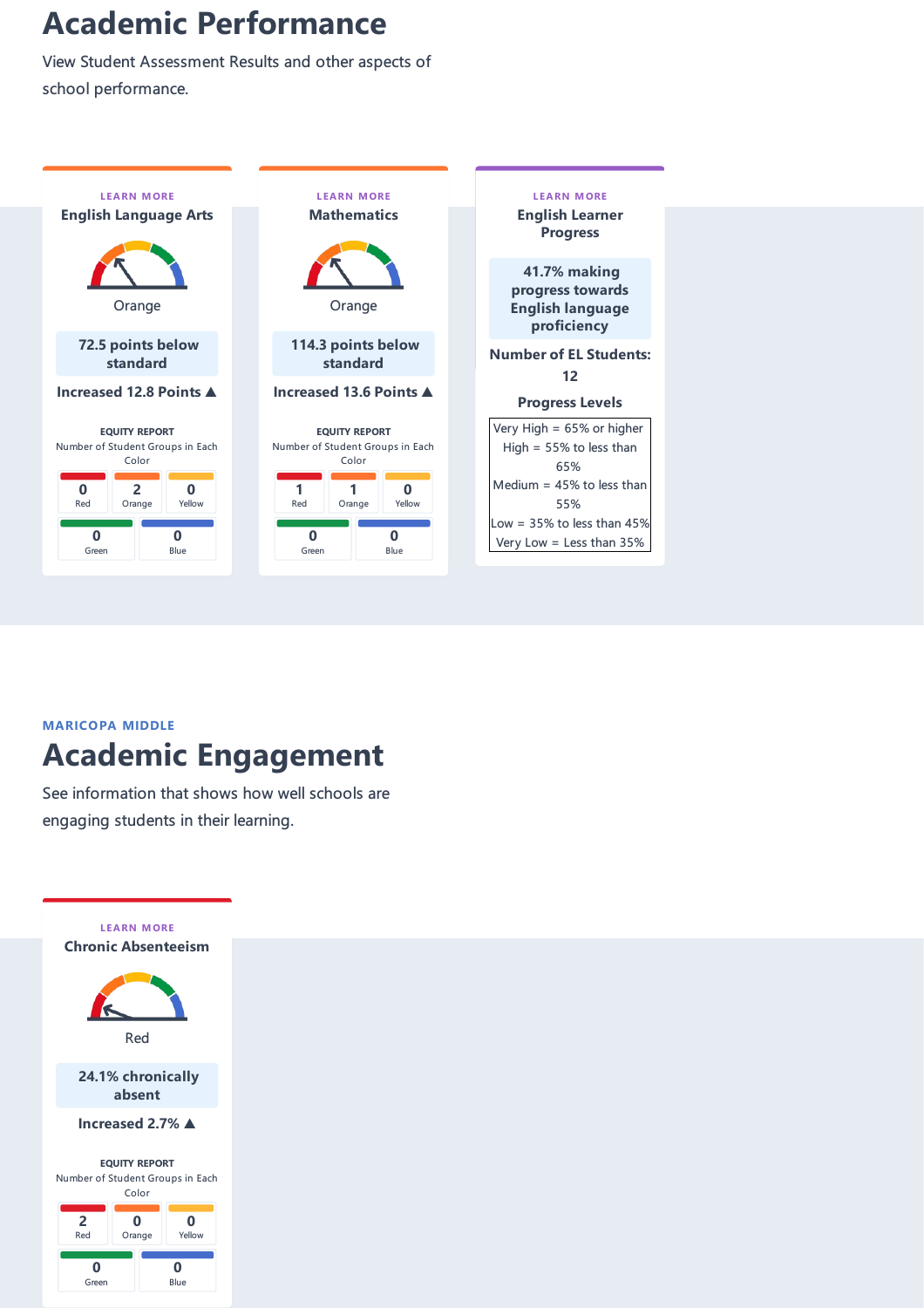## **Academic Performance**

View Student Assessment Results and other aspects of school performance.



#### **MARICOPA MIDDLE Academic Engagement**

See information that shows how well schools are engaging students in their learning.